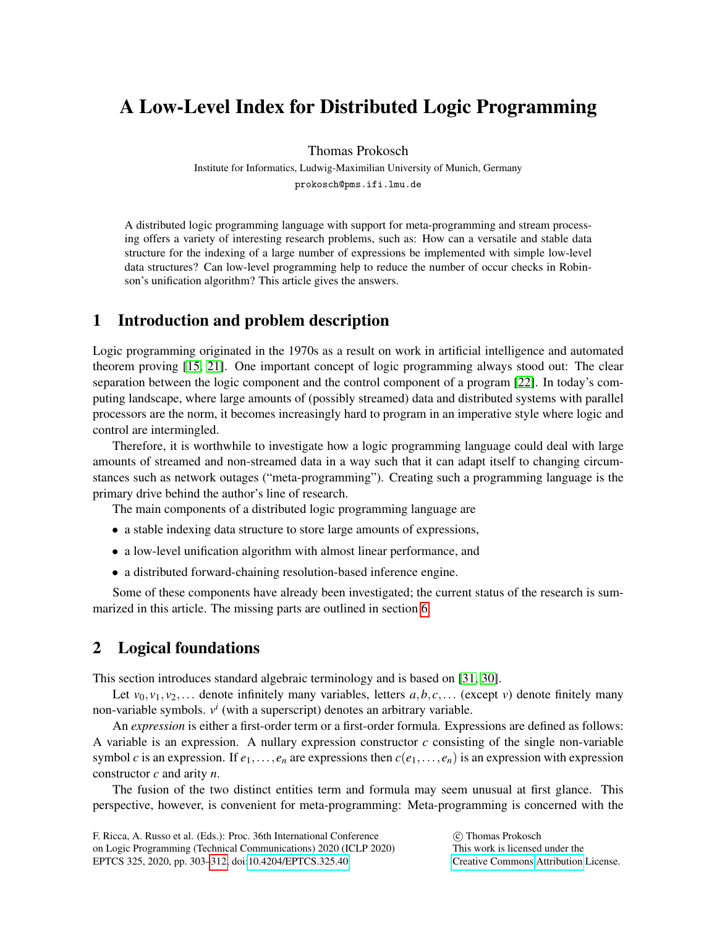# A Low-Level Index for Distributed Logic Programming

Thomas Prokosch

Institute for Informatics, Ludwig-Maximilian University of Munich, Germany

prokosch@pms.ifi.lmu.de

A distributed logic programming language with support for meta-programming and stream processing offers a variety of interesting research problems, such as: How can a versatile and stable data structure for the indexing of a large number of expressions be implemented with simple low-level data structures? Can low-level programming help to reduce the number of occur checks in Robinson's unification algorithm? This article gives the answers.

# 1 Introduction and problem description

Logic programming originated in the 1970s as a result on work in artificial intelligence and automated theorem proving [\[15,](#page-8-0) [21\]](#page-8-1). One important concept of logic programming always stood out: The clear separation between the logic component and the control component of a program [\[22\]](#page-8-2). In today's computing landscape, where large amounts of (possibly streamed) data and distributed systems with parallel processors are the norm, it becomes increasingly hard to program in an imperative style where logic and control are intermingled.

Therefore, it is worthwhile to investigate how a logic programming language could deal with large amounts of streamed and non-streamed data in a way such that it can adapt itself to changing circumstances such as network outages ("meta-programming"). Creating such a programming language is the primary drive behind the author's line of research.

The main components of a distributed logic programming language are

- a stable indexing data structure to store large amounts of expressions,
- a low-level unification algorithm with almost linear performance, and
- a distributed forward-chaining resolution-based inference engine.

Some of these components have already been investigated; the current status of the research is summarized in this article. The missing parts are outlined in section [6.](#page-7-0)

# 2 Logical foundations

This section introduces standard algebraic terminology and is based on [\[31,](#page-8-3) [30\]](#page-8-4).

Let  $v_0, v_1, v_2,...$  denote infinitely many variables, letters  $a, b, c,...$  (except *v*) denote finitely many non-variable symbols. *v i* (with a superscript) denotes an arbitrary variable.

An *expression* is either a first-order term or a first-order formula. Expressions are defined as follows: A variable is an expression. A nullary expression constructor *c* consisting of the single non-variable symbol *c* is an expression. If  $e_1, \ldots, e_n$  are expressions then  $c(e_1, \ldots, e_n)$  is an expression with expression constructor *c* and arity *n*.

The fusion of the two distinct entities term and formula may seem unusual at first glance. This perspective, however, is convenient for meta-programming: Meta-programming is concerned with the

F. Ricca, A. Russo et al. (Eds.): Proc. 36th International Conference on Logic Programming (Technical Communications) 2020 (ICLP 2020) EPTCS 325, 2020, pp. 303[–312,](#page-9-0) doi[:10.4204/EPTCS.325.40](http://dx.doi.org/10.4204/EPTCS.325.40)

 c Thomas Prokosch This work is licensed under the [Creative Commons](http://creativecommons.org) [Attribution](http://creativecommons.org/licenses/by/3.0/) License.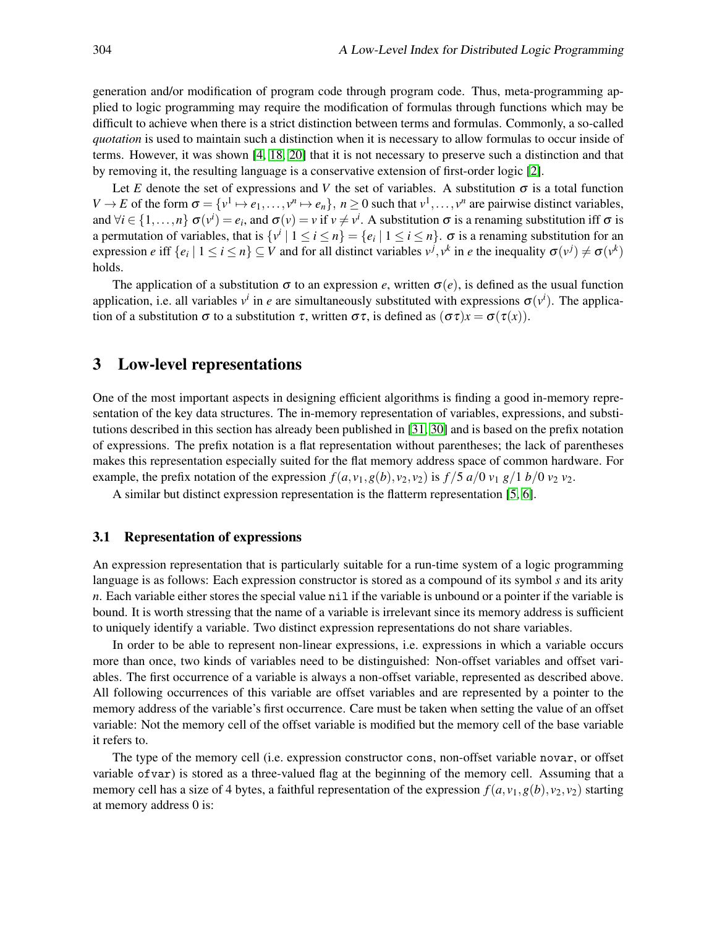generation and/or modification of program code through program code. Thus, meta-programming applied to logic programming may require the modification of formulas through functions which may be difficult to achieve when there is a strict distinction between terms and formulas. Commonly, a so-called *quotation* is used to maintain such a distinction when it is necessary to allow formulas to occur inside of terms. However, it was shown [\[4,](#page-7-1) [18,](#page-8-5) [20\]](#page-8-6) that it is not necessary to preserve such a distinction and that by removing it, the resulting language is a conservative extension of first-order logic [\[2\]](#page-7-2).

Let *E* denote the set of expressions and *V* the set of variables. A substitution  $\sigma$  is a total function  $V \to E$  of the form  $\sigma = \{v^1 \mapsto e_1, \dots, v^n \mapsto e_n\}$ ,  $n \ge 0$  such that  $v^1, \dots, v^n$  are pairwise distinct variables, and  $\forall i \in \{1, ..., n\}$   $\sigma(v^i) = e_i$ , and  $\sigma(v) = v$  if  $v \neq v^i$ . A substitution  $\sigma$  is a renaming substitution iff  $\sigma$  is a permutation of variables, that is  $\{v^i \mid 1 \le i \le n\} = \{e_i \mid 1 \le i \le n\}$ .  $\sigma$  is a renaming substitution for an expression *e* iff  $\{e_i \mid 1 \le i \le n\} \subseteq V$  and for all distinct variables  $v^j, v^k$  in *e* the inequality  $\sigma(v^j) \neq \sigma(v^k)$ holds.

The application of a substitution  $\sigma$  to an expression *e*, written  $\sigma(e)$ , is defined as the usual function application, i.e. all variables  $v^i$  in *e* are simultaneously substituted with expressions  $\sigma(v^i)$ . The application of a substitution  $\sigma$  to a substitution  $\tau$ , written  $\sigma\tau$ , is defined as  $(\sigma\tau)x = \sigma(\tau(x))$ .

## 3 Low-level representations

One of the most important aspects in designing efficient algorithms is finding a good in-memory representation of the key data structures. The in-memory representation of variables, expressions, and substitutions described in this section has already been published in [\[31,](#page-8-3) [30\]](#page-8-4) and is based on the prefix notation of expressions. The prefix notation is a flat representation without parentheses; the lack of parentheses makes this representation especially suited for the flat memory address space of common hardware. For example, the prefix notation of the expression  $f(a, v_1, g(b), v_2, v_2)$  is  $f/5 a/0 v_1 g/1 b/0 v_2 v_2$ .

A similar but distinct expression representation is the flatterm representation [\[5,](#page-7-3) [6\]](#page-7-4).

#### 3.1 Representation of expressions

An expression representation that is particularly suitable for a run-time system of a logic programming language is as follows: Each expression constructor is stored as a compound of its symbol *s* and its arity *n*. Each variable either stores the special value nil if the variable is unbound or a pointer if the variable is bound. It is worth stressing that the name of a variable is irrelevant since its memory address is sufficient to uniquely identify a variable. Two distinct expression representations do not share variables.

In order to be able to represent non-linear expressions, i.e. expressions in which a variable occurs more than once, two kinds of variables need to be distinguished: Non-offset variables and offset variables. The first occurrence of a variable is always a non-offset variable, represented as described above. All following occurrences of this variable are offset variables and are represented by a pointer to the memory address of the variable's first occurrence. Care must be taken when setting the value of an offset variable: Not the memory cell of the offset variable is modified but the memory cell of the base variable it refers to.

The type of the memory cell (i.e. expression constructor cons, non-offset variable novar, or offset variable ofvar) is stored as a three-valued flag at the beginning of the memory cell. Assuming that a memory cell has a size of 4 bytes, a faithful representation of the expression  $f(a, v_1, g(b), v_2, v_2)$  starting at memory address 0 is: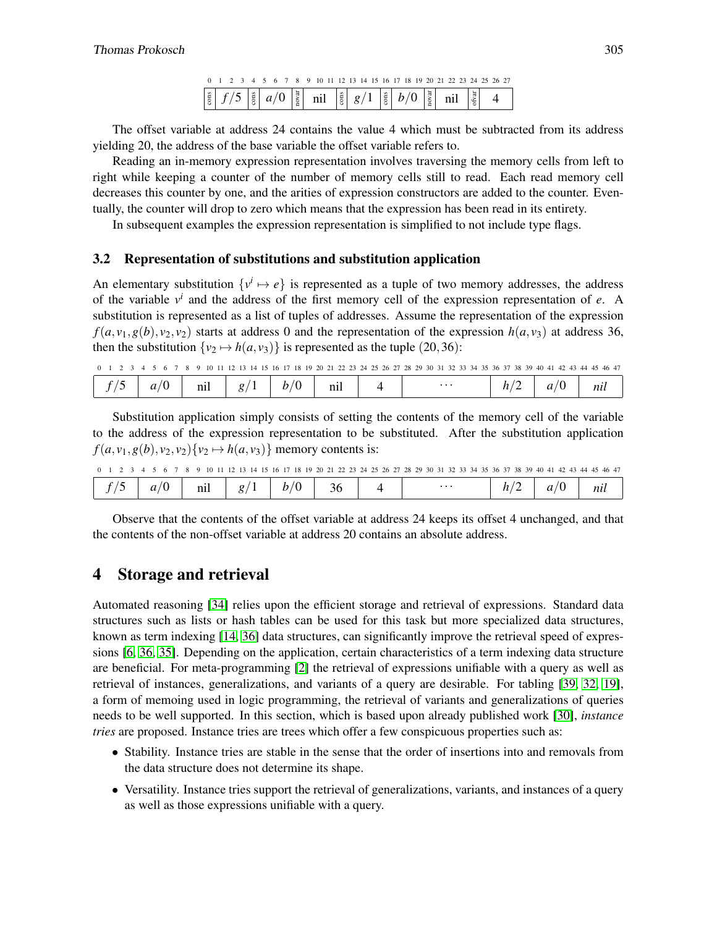|  |  |  |  |  | 0 1 2 3 4 5 6 7 8 9 10 11 12 13 14 15 16 17 18 19 20 21 22 23 24 25 26 27                                                                                                                                                                                                                                        |  |  |  |  |  |  |  |  |  |
|--|--|--|--|--|------------------------------------------------------------------------------------------------------------------------------------------------------------------------------------------------------------------------------------------------------------------------------------------------------------------|--|--|--|--|--|--|--|--|--|
|  |  |  |  |  | $\begin{bmatrix} \frac{2}{5} & f/5 & \frac{2}{5} & a/0 & \frac{1}{2} \\ 0 & 0 & 0 & 0 & 0 \end{bmatrix} \begin{bmatrix} \frac{2}{5} & f/5 & \frac{2}{5} & 0 \\ 0 & 0 & 0 & 0 \\ 0 & 0 & 0 & 0 \end{bmatrix} \begin{bmatrix} \frac{2}{5} & f/5 & \frac{2}{5} & 0 \\ 0 & 0 & 0 & 0 \\ 0 & 0 & 0 & 0 \end{bmatrix}$ |  |  |  |  |  |  |  |  |  |

The offset variable at address 24 contains the value 4 which must be subtracted from its address yielding 20, the address of the base variable the offset variable refers to.

Reading an in-memory expression representation involves traversing the memory cells from left to right while keeping a counter of the number of memory cells still to read. Each read memory cell decreases this counter by one, and the arities of expression constructors are added to the counter. Eventually, the counter will drop to zero which means that the expression has been read in its entirety.

In subsequent examples the expression representation is simplified to not include type flags.

#### 3.2 Representation of substitutions and substitution application

An elementary substitution  $\{v^i \mapsto e\}$  is represented as a tuple of two memory addresses, the address of the variable  $v^i$  and the address of the first memory cell of the expression representation of *e*. A substitution is represented as a list of tuples of addresses. Assume the representation of the expression  $f(a, v_1, g(b), v_2, v_2)$  starts at address 0 and the representation of the expression  $h(a, v_3)$  at address 36, then the substitution  $\{v_2 \mapsto h(a, v_3)\}$  is represented as the tuple (20,36):

| 0 1 2 3 4 5 6 7 8 9 10 11 12 13 14 15 16 17 18 19 20 21 22 23 24 25 26 27 28 29 30 31 32 33 34 35 36 37 38 39 40 41 42 43 44 45 46 47 |  |
|---------------------------------------------------------------------------------------------------------------------------------------|--|
|---------------------------------------------------------------------------------------------------------------------------------------|--|

|  | $\sim$<br>$\sim$<br>u<br>$\overline{\phantom{a}}$ | nıl | $\sigma$<br>ັ |  | $n_{11}$ |  | $\cdots$ | $\overline{\phantom{a}}$<br>-<br>— | $\sim$<br>u | nu |
|--|---------------------------------------------------|-----|---------------|--|----------|--|----------|------------------------------------|-------------|----|
|--|---------------------------------------------------|-----|---------------|--|----------|--|----------|------------------------------------|-------------|----|

Substitution application simply consists of setting the contents of the memory cell of the variable to the address of the expression representation to be substituted. After the substitution application  $f(a, v_1, g(b), v_2, v_2)$  $\{v_2 \mapsto h(a, v_3)\}$  memory contents is:

|  |  |  |  |  |  | 2 3 4 5 6 7 8 9 10 11 12 13 14 15 16 17 18 19 20 21 22 23 24 25 26 27 28 29 30 31 32 33 34 35 36 37 38 39 40 41 42 43 44 45 46 47 |  |  |  |  |  |  |  |  |          |  |  |  |  |  |  |  |  |
|--|--|--|--|--|--|-----------------------------------------------------------------------------------------------------------------------------------|--|--|--|--|--|--|--|--|----------|--|--|--|--|--|--|--|--|
|  |  |  |  |  |  |                                                                                                                                   |  |  |  |  |  |  |  |  | $\cdots$ |  |  |  |  |  |  |  |  |

Observe that the contents of the offset variable at address 24 keeps its offset 4 unchanged, and that the contents of the non-offset variable at address 20 contains an absolute address.

## 4 Storage and retrieval

Automated reasoning [\[34\]](#page-9-1) relies upon the efficient storage and retrieval of expressions. Standard data structures such as lists or hash tables can be used for this task but more specialized data structures, known as term indexing [\[14,](#page-8-7) [36\]](#page-9-2) data structures, can significantly improve the retrieval speed of expressions [\[6,](#page-7-4) [36,](#page-9-2) [35\]](#page-9-3). Depending on the application, certain characteristics of a term indexing data structure are beneficial. For meta-programming [\[2\]](#page-7-2) the retrieval of expressions unifiable with a query as well as retrieval of instances, generalizations, and variants of a query are desirable. For tabling [\[39,](#page-9-4) [32,](#page-9-5) [19\]](#page-8-8), a form of memoing used in logic programming, the retrieval of variants and generalizations of queries needs to be well supported. In this section, which is based upon already published work [\[30\]](#page-8-4), *instance tries* are proposed. Instance tries are trees which offer a few conspicuous properties such as:

- Stability. Instance tries are stable in the sense that the order of insertions into and removals from the data structure does not determine its shape.
- Versatility. Instance tries support the retrieval of generalizations, variants, and instances of a query as well as those expressions unifiable with a query.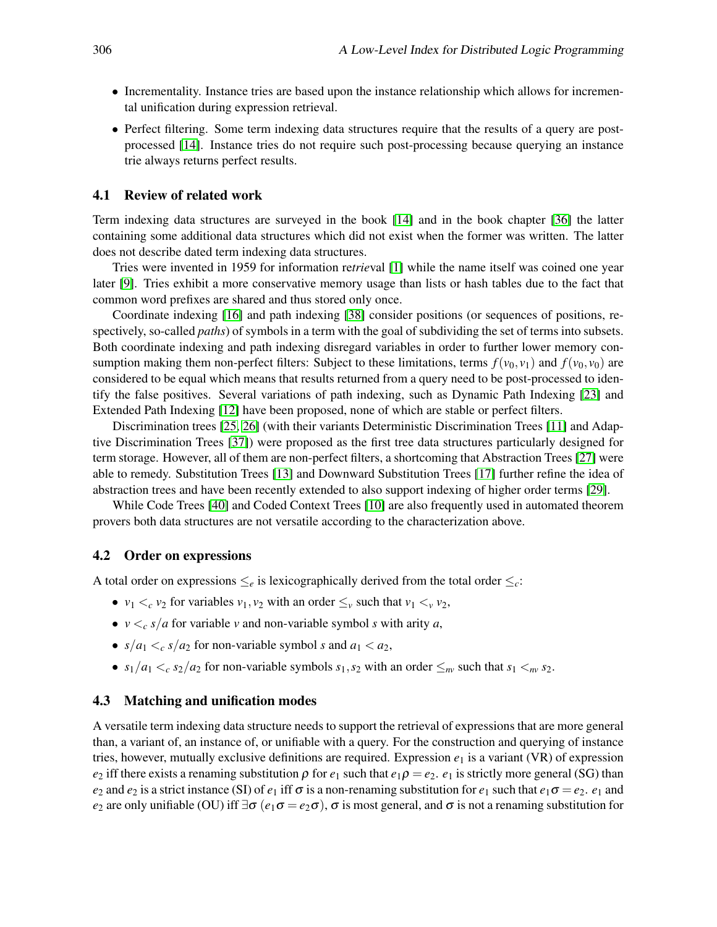- Incrementality. Instance tries are based upon the instance relationship which allows for incremental unification during expression retrieval.
- Perfect filtering. Some term indexing data structures require that the results of a query are postprocessed [\[14\]](#page-8-7). Instance tries do not require such post-processing because querying an instance trie always returns perfect results.

#### 4.1 Review of related work

Term indexing data structures are surveyed in the book [\[14\]](#page-8-7) and in the book chapter [\[36\]](#page-9-2) the latter containing some additional data structures which did not exist when the former was written. The latter does not describe dated term indexing data structures.

Tries were invented in 1959 for information re*trie*val [\[1\]](#page-7-5) while the name itself was coined one year later [\[9\]](#page-7-6). Tries exhibit a more conservative memory usage than lists or hash tables due to the fact that common word prefixes are shared and thus stored only once.

Coordinate indexing [\[16\]](#page-8-9) and path indexing [\[38\]](#page-9-6) consider positions (or sequences of positions, respectively, so-called *paths*) of symbols in a term with the goal of subdividing the set of terms into subsets. Both coordinate indexing and path indexing disregard variables in order to further lower memory consumption making them non-perfect filters: Subject to these limitations, terms  $f(v_0, v_1)$  and  $f(v_0, v_0)$  are considered to be equal which means that results returned from a query need to be post-processed to identify the false positives. Several variations of path indexing, such as Dynamic Path Indexing [\[23\]](#page-8-10) and Extended Path Indexing [\[12\]](#page-7-7) have been proposed, none of which are stable or perfect filters.

Discrimination trees [\[25,](#page-8-11) [26\]](#page-8-12) (with their variants Deterministic Discrimination Trees [\[11\]](#page-7-8) and Adaptive Discrimination Trees [\[37\]](#page-9-7)) were proposed as the first tree data structures particularly designed for term storage. However, all of them are non-perfect filters, a shortcoming that Abstraction Trees [\[27\]](#page-8-13) were able to remedy. Substitution Trees [\[13\]](#page-7-9) and Downward Substitution Trees [\[17\]](#page-8-14) further refine the idea of abstraction trees and have been recently extended to also support indexing of higher order terms [\[29\]](#page-8-15).

While Code Trees [\[40\]](#page-9-8) and Coded Context Trees [\[10\]](#page-7-10) are also frequently used in automated theorem provers both data structures are not versatile according to the characterization above.

#### 4.2 Order on expressions

A total order on expressions  $\leq_e$  is lexicographically derived from the total order  $\leq_c$ :

- $v_1 \lt_c v_2$  for variables  $v_1, v_2$  with an order  $\leq_v$  such that  $v_1 \lt_v v_2$ ,
- $v \lt_c s/a$  for variable *v* and non-variable symbol *s* with arity *a*,
- $s/a_1 < c s/a_2$  for non-variable symbol *s* and  $a_1 < a_2$ ,
- $s_1/a_1 \lt_c s_2/a_2$  for non-variable symbols  $s_1, s_2$  with an order  $\leq_{nv}$  such that  $s_1 \lt_{nv} s_2$ .

#### 4.3 Matching and unification modes

A versatile term indexing data structure needs to support the retrieval of expressions that are more general than, a variant of, an instance of, or unifiable with a query. For the construction and querying of instance tries, however, mutually exclusive definitions are required. Expression  $e_1$  is a variant (VR) of expression *e*<sub>2</sub> iff there exists a renaming substitution  $\rho$  for  $e_1$  such that  $e_1\rho = e_2$ .  $e_1$  is strictly more general (SG) than *e*<sub>2</sub> and *e*<sub>2</sub> is a strict instance (SI) of *e*<sub>1</sub> iff  $\sigma$  is a non-renaming substitution for *e*<sub>1</sub> such that *e*<sub>1</sub> $\sigma = e_2$ . *e*<sub>1</sub> and *e*<sub>2</sub> are only unifiable (OU) iff  $\exists \sigma$  (*e*<sub>1</sub> $\sigma$  = *e*<sub>2</sub> $\sigma$ ),  $\sigma$  is most general, and  $\sigma$  is not a renaming substitution for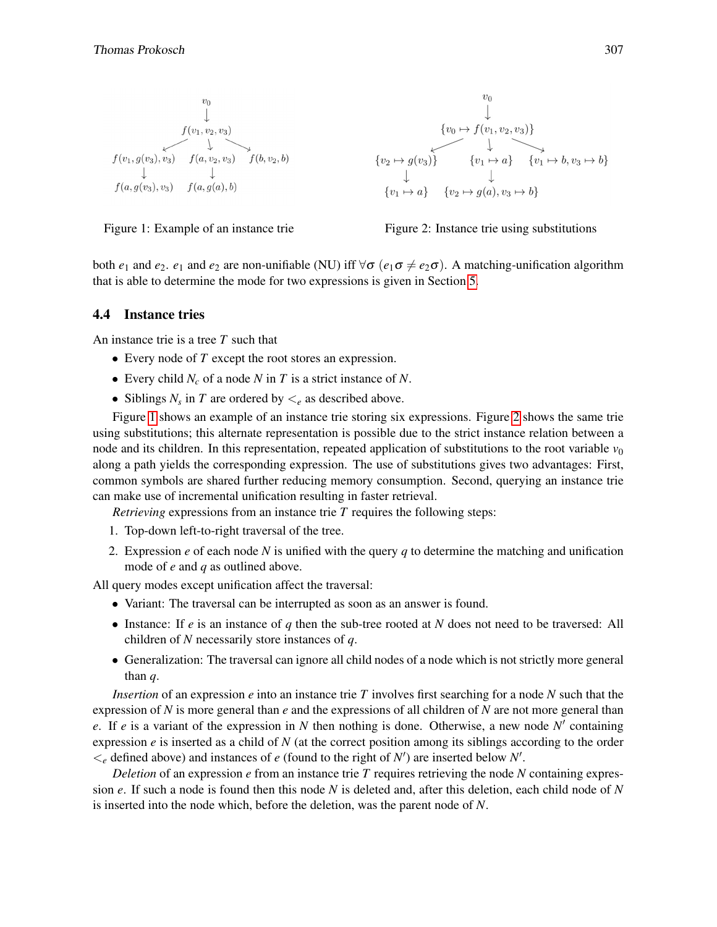

<span id="page-4-1"></span>



<span id="page-4-0"></span>Figure 1: Example of an instance trie Figure 2: Instance trie using substitutions

both *e*<sub>1</sub> and *e*<sub>2</sub>. *e*<sub>1</sub> and *e*<sub>2</sub> are non-unifiable (NU) iff ∀σ (*e*<sub>1</sub>σ ≠ *e*<sub>2</sub>σ). A matching-unification algorithm that is able to determine the mode for two expressions is given in Section [5.](#page-5-0)

#### 4.4 Instance tries

An instance trie is a tree *T* such that

- Every node of *T* except the root stores an expression.
- Every child *N<sup>c</sup>* of a node *N* in *T* is a strict instance of *N*.
- Siblings  $N_s$  in  $T$  are ordered by  $\lt_e$  as described above.

Figure [1](#page-4-0) shows an example of an instance trie storing six expressions. Figure [2](#page-4-1) shows the same trie using substitutions; this alternate representation is possible due to the strict instance relation between a node and its children. In this representation, repeated application of substitutions to the root variable  $v_0$ along a path yields the corresponding expression. The use of substitutions gives two advantages: First, common symbols are shared further reducing memory consumption. Second, querying an instance trie can make use of incremental unification resulting in faster retrieval.

*Retrieving* expressions from an instance trie *T* requires the following steps:

- 1. Top-down left-to-right traversal of the tree.
- 2. Expression *e* of each node *N* is unified with the query *q* to determine the matching and unification mode of *e* and *q* as outlined above.

All query modes except unification affect the traversal:

- Variant: The traversal can be interrupted as soon as an answer is found.
- Instance: If *e* is an instance of *q* then the sub-tree rooted at *N* does not need to be traversed: All children of *N* necessarily store instances of *q*.
- Generalization: The traversal can ignore all child nodes of a node which is not strictly more general than *q*.

*Insertion* of an expression *e* into an instance trie *T* involves first searching for a node *N* such that the expression of *N* is more general than *e* and the expressions of all children of *N* are not more general than *e*. If *e* is a variant of the expression in *N* then nothing is done. Otherwise, a new node  $N'$  containing expression  $e$  is inserted as a child of  $N$  (at the correct position among its siblings according to the order  $\lt_e$  defined above) and instances of *e* (found to the right of *N*') are inserted below *N*'.

*Deletion* of an expression  $e$  from an instance trie  $T$  requires retrieving the node  $N$  containing expression *e*. If such a node is found then this node *N* is deleted and, after this deletion, each child node of *N* is inserted into the node which, before the deletion, was the parent node of *N*.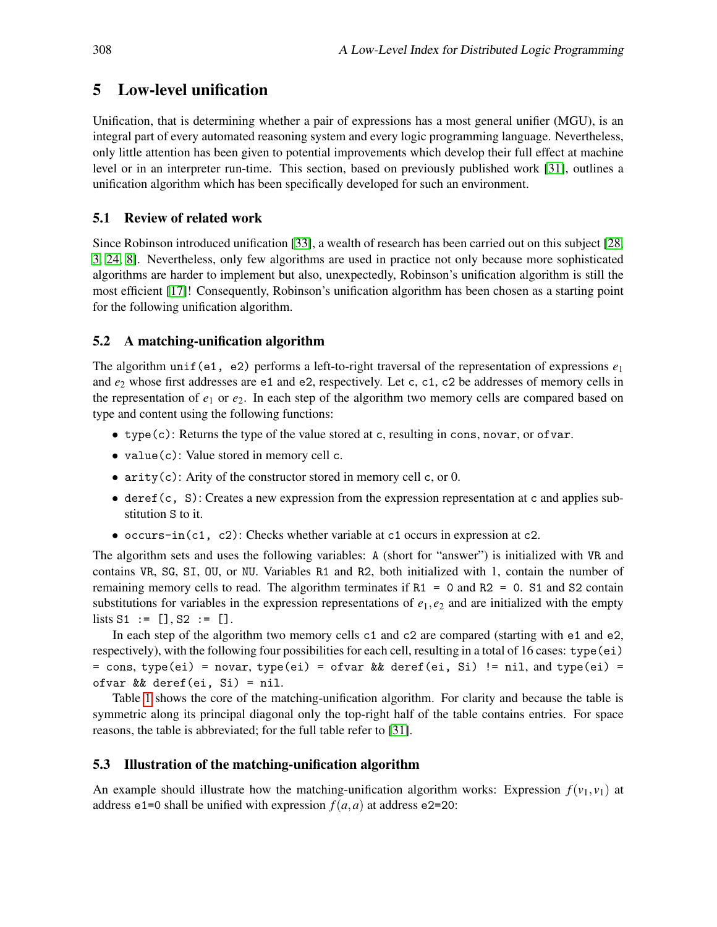# <span id="page-5-0"></span>5 Low-level unification

Unification, that is determining whether a pair of expressions has a most general unifier (MGU), is an integral part of every automated reasoning system and every logic programming language. Nevertheless, only little attention has been given to potential improvements which develop their full effect at machine level or in an interpreter run-time. This section, based on previously published work [\[31\]](#page-8-3), outlines a unification algorithm which has been specifically developed for such an environment.

## 5.1 Review of related work

Since Robinson introduced unification [\[33\]](#page-9-9), a wealth of research has been carried out on this subject [\[28,](#page-8-16) [3,](#page-7-11) [24,](#page-8-17) [8\]](#page-7-12). Nevertheless, only few algorithms are used in practice not only because more sophisticated algorithms are harder to implement but also, unexpectedly, Robinson's unification algorithm is still the most efficient [\[17\]](#page-8-14)! Consequently, Robinson's unification algorithm has been chosen as a starting point for the following unification algorithm.

## 5.2 A matching-unification algorithm

The algorithm unif(e1, e2) performs a left-to-right traversal of the representation of expressions  $e_1$ and *e*<sup>2</sup> whose first addresses are e1 and e2, respectively. Let c, c1, c2 be addresses of memory cells in the representation of  $e_1$  or  $e_2$ . In each step of the algorithm two memory cells are compared based on type and content using the following functions:

- type(c): Returns the type of the value stored at c, resulting in cons, novar, or ofvar.
- value(c): Value stored in memory cell c.
- arity $(c)$ : Arity of the constructor stored in memory cell c, or 0.
- $\bullet$  deref(c, S): Creates a new expression from the expression representation at c and applies substitution S to it.
- occurs-in(c1, c2): Checks whether variable at c1 occurs in expression at c2.

The algorithm sets and uses the following variables: A (short for "answer") is initialized with VR and contains VR, SG, SI, OU, or NU. Variables R1 and R2, both initialized with 1, contain the number of remaining memory cells to read. The algorithm terminates if  $R1 = 0$  and  $R2 = 0$ . S1 and S2 contain substitutions for variables in the expression representations of  $e_1, e_2$  and are initialized with the empty lists  $S1 := []$ ,  $S2 := []$ .

In each step of the algorithm two memory cells c1 and c2 are compared (starting with e1 and e2, respectively), with the following four possibilities for each cell, resulting in a total of 16 cases: type(ei) = cons, type(ei) = novar, type(ei) = ofvar && deref(ei, Si) != nil, and type(ei) = ofvar && deref(ei, Si) = nil.

Table [1](#page-6-0) shows the core of the matching-unification algorithm. For clarity and because the table is symmetric along its principal diagonal only the top-right half of the table contains entries. For space reasons, the table is abbreviated; for the full table refer to [\[31\]](#page-8-3).

## 5.3 Illustration of the matching-unification algorithm

An example should illustrate how the matching-unification algorithm works: Expression  $f(v_1, v_1)$  at address e1=0 shall be unified with expression  $f(a, a)$  at address e2=20: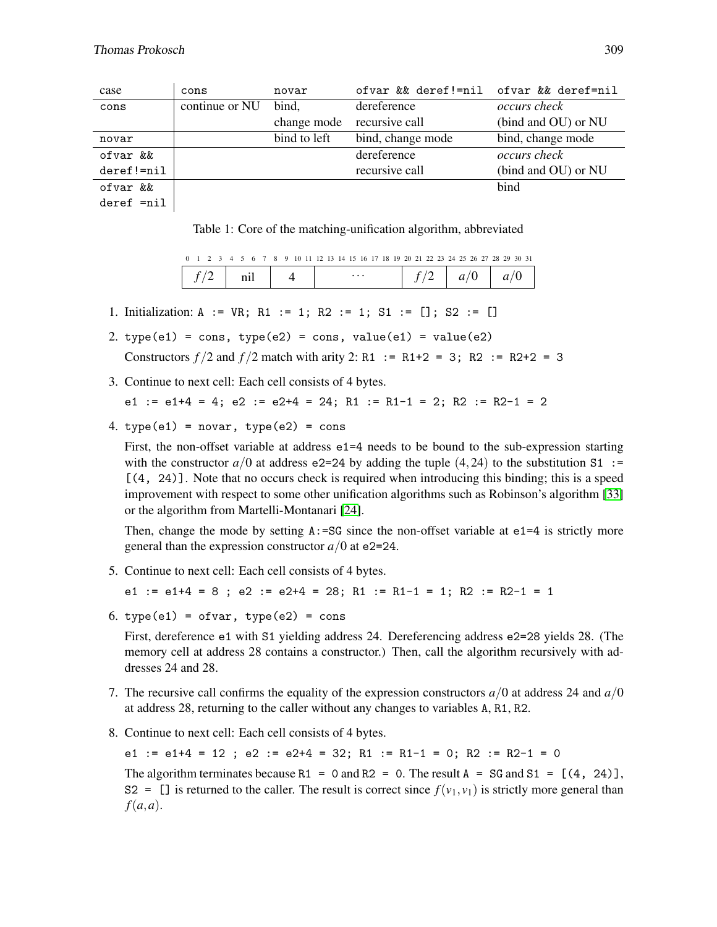| case                | cons           | novar        | ofvar && deref!=nil ofvar && deref=nil |                     |
|---------------------|----------------|--------------|----------------------------------------|---------------------|
| cons                | continue or NU | bind.        | dereference                            | <i>occurs check</i> |
|                     |                | change mode  | recursive call                         | (bind and OU) or NU |
| novar               |                | bind to left | bind, change mode                      | bind, change mode   |
| ofvar &&            |                |              | dereference                            | <i>occurs check</i> |
| $deref!=nil$        |                |              | recursive call                         | (bind and OU) or NU |
| ofvar &&            |                |              |                                        | bind                |
| $1 - 1 - 2 - 2 - 1$ |                |              |                                        |                     |

deref  $=$ nil  $|$ 

<span id="page-6-0"></span>Table 1: Core of the matching-unification algorithm, abbreviated

| 0 1 2 3 4 5 6 7 8 9 10 11 12 13 14 15 16 17 18 19 20 21 22 23 24 25 26 27 28 29 30 31 |  |  |  |  |  |  |          |  |  |  |  |  |  |  |  |
|---------------------------------------------------------------------------------------|--|--|--|--|--|--|----------|--|--|--|--|--|--|--|--|
|                                                                                       |  |  |  |  |  |  | $\cdots$ |  |  |  |  |  |  |  |  |

- 1. Initialization: A := VR; R1 := 1; R2 := 1; S1 := []; S2 := []
- 2. type(e1) = cons, type(e2) = cons, value(e1) = value(e2) Constructors  $f/2$  and  $f/2$  match with arity 2: R1 := R1+2 = 3; R2 := R2+2 = 3
- 3. Continue to next cell: Each cell consists of 4 bytes.

$$
e1 := e1+4 = 4; e2 := e2+4 = 24; R1 := R1-1 = 2; R2 := R2-1 = 2
$$

4.  $type(e1) = novar$ ,  $type(e2) = cons$ 

First, the non-offset variable at address e1=4 needs to be bound to the sub-expression starting with the constructor  $a/0$  at address e2=24 by adding the tuple (4, 24) to the substitution S1 :=  $[(4, 24)]$ . Note that no occurs check is required when introducing this binding; this is a speed improvement with respect to some other unification algorithms such as Robinson's algorithm [\[33\]](#page-9-9) or the algorithm from Martelli-Montanari [\[24\]](#page-8-17).

Then, change the mode by setting  $A: = S G$  since the non-offset variable at  $e1 = 4$  is strictly more general than the expression constructor  $a/0$  at e2=24.

5. Continue to next cell: Each cell consists of 4 bytes.

e1 :=  $e1+4 = 8$ ;  $e2 := e2+4 = 28$ ; R1 := R1-1 = 1; R2 := R2-1 = 1

6. type(e1) = ofvar, type(e2) =  $cons$ 

First, dereference e1 with S1 yielding address 24. Dereferencing address e2=28 yields 28. (The memory cell at address 28 contains a constructor.) Then, call the algorithm recursively with addresses 24 and 28.

- 7. The recursive call confirms the equality of the expression constructors *a*/0 at address 24 and *a*/0 at address 28, returning to the caller without any changes to variables A, R1, R2.
- 8. Continue to next cell: Each cell consists of 4 bytes.

e1 :=  $e1+4 = 12$ ;  $e2 := e2+4 = 32$ ; R1 := R1-1 = 0; R2 := R2-1 = 0

The algorithm terminates because R1 = 0 and R2 = 0. The result  $A = SG$  and  $S1 = [(4, 24)]$ , S2 = [] is returned to the caller. The result is correct since  $f(v_1, v_1)$  is strictly more general than *f*(*a*,*a*).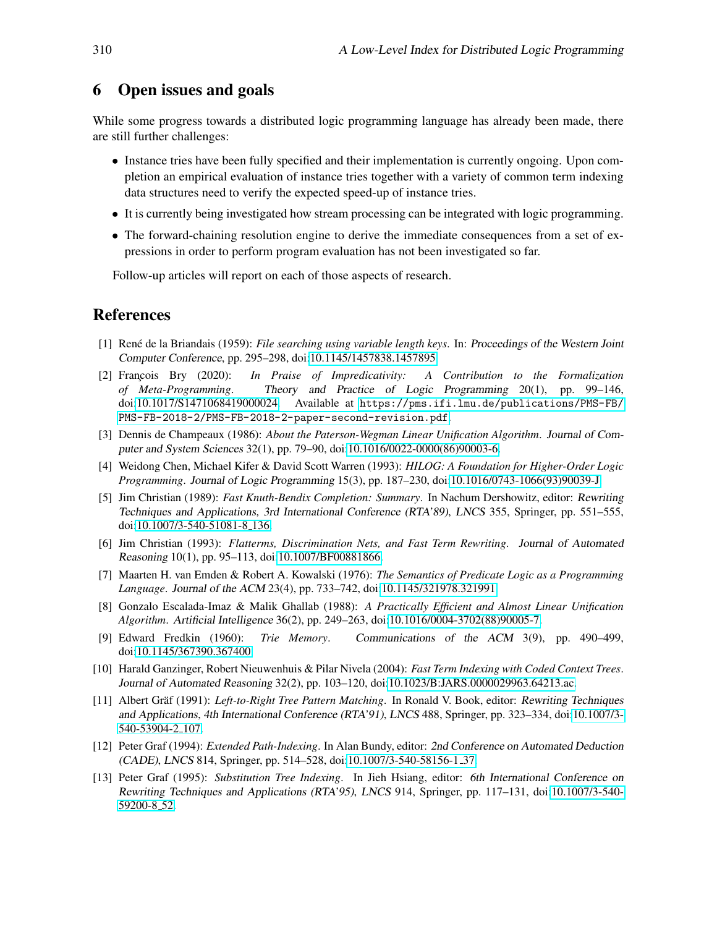# <span id="page-7-0"></span>6 Open issues and goals

While some progress towards a distributed logic programming language has already been made, there are still further challenges:

- Instance tries have been fully specified and their implementation is currently ongoing. Upon completion an empirical evaluation of instance tries together with a variety of common term indexing data structures need to verify the expected speed-up of instance tries.
- It is currently being investigated how stream processing can be integrated with logic programming.
- The forward-chaining resolution engine to derive the immediate consequences from a set of expressions in order to perform program evaluation has not been investigated so far.

Follow-up articles will report on each of those aspects of research.

## References

- <span id="page-7-5"></span>[1] René de la Briandais (1959): *File searching using variable length keys*. In: Proceedings of the Western Joint Computer Conference, pp. 295–298, doi[:10.1145/1457838.1457895.](http://dx.doi.org/10.1145/1457838.1457895)
- <span id="page-7-2"></span>[2] François Bry (2020): *In Praise of Impredicativity: A Contribution to the Formalization of Meta-Programming*. Theory and Practice of Logic Programming 20(1), pp. 99–146, doi[:10.1017/S1471068419000024.](http://dx.doi.org/10.1017/S1471068419000024) Available at [https://pms.ifi.lmu.de/publications/PMS-FB/](https://pms.ifi.lmu.de/publications/PMS-FB/PMS-FB-2018-2/PMS-FB-2018-2-paper-second-revision.pdf) [PMS-FB-2018-2/PMS-FB-2018-2-paper-second-revision.pdf](https://pms.ifi.lmu.de/publications/PMS-FB/PMS-FB-2018-2/PMS-FB-2018-2-paper-second-revision.pdf).
- <span id="page-7-11"></span>[3] Dennis de Champeaux (1986): *About the Paterson-Wegman Linear Unification Algorithm*. Journal of Computer and System Sciences 32(1), pp. 79–90, doi[:10.1016/0022-0000\(86\)90003-6.](http://dx.doi.org/10.1016/0022-0000(86)90003-6)
- <span id="page-7-1"></span>[4] Weidong Chen, Michael Kifer & David Scott Warren (1993): *HILOG: A Foundation for Higher-Order Logic Programming*. Journal of Logic Programming 15(3), pp. 187–230, doi[:10.1016/0743-1066\(93\)90039-J.](http://dx.doi.org/10.1016/0743-1066(93)90039-J)
- <span id="page-7-3"></span>[5] Jim Christian (1989): *Fast Knuth-Bendix Completion: Summary*. In Nachum Dershowitz, editor: Rewriting Techniques and Applications, 3rd International Conference (RTA'89), LNCS 355, Springer, pp. 551–555, doi[:10.1007/3-540-51081-8](http://dx.doi.org/10.1007/3-540-51081-8_136) 136.
- <span id="page-7-4"></span>[6] Jim Christian (1993): *Flatterms, Discrimination Nets, and Fast Term Rewriting*. Journal of Automated Reasoning 10(1), pp. 95–113, doi[:10.1007/BF00881866.](http://dx.doi.org/10.1007/BF00881866)
- [7] Maarten H. van Emden & Robert A. Kowalski (1976): *The Semantics of Predicate Logic as a Programming Language*. Journal of the ACM 23(4), pp. 733–742, doi[:10.1145/321978.321991.](http://dx.doi.org/10.1145/321978.321991)
- <span id="page-7-12"></span>[8] Gonzalo Escalada-Imaz & Malik Ghallab (1988): *A Practically Efficient and Almost Linear Unification Algorithm*. Artificial Intelligence 36(2), pp. 249–263, doi[:10.1016/0004-3702\(88\)90005-7.](http://dx.doi.org/10.1016/0004-3702(88)90005-7)
- <span id="page-7-6"></span>[9] Edward Fredkin (1960): *Trie Memory*. Communications of the ACM 3(9), pp. 490–499, doi[:10.1145/367390.367400.](http://dx.doi.org/10.1145/367390.367400)
- <span id="page-7-10"></span>[10] Harald Ganzinger, Robert Nieuwenhuis & Pilar Nivela (2004): *Fast Term Indexing with Coded Context Trees*. Journal of Automated Reasoning 32(2), pp. 103–120, doi[:10.1023/B:JARS.0000029963.64213.ac.](http://dx.doi.org/10.1023/B:JARS.0000029963.64213.ac)
- <span id="page-7-8"></span>[11] Albert Gräf (1991): *Left-to-Right Tree Pattern Matching*. In Ronald V. Book, editor: Rewriting Techniques and Applications, 4th International Conference (RTA'91), LNCS 488, Springer, pp. 323–334, doi[:10.1007/3-](http://dx.doi.org/10.1007/3-540-53904-2_107) [540-53904-2](http://dx.doi.org/10.1007/3-540-53904-2_107) 107.
- <span id="page-7-7"></span>[12] Peter Graf (1994): *Extended Path-Indexing*. In Alan Bundy, editor: 2nd Conference on Automated Deduction (CADE), LNCS 814, Springer, pp. 514–528, doi[:10.1007/3-540-58156-1](http://dx.doi.org/10.1007/3-540-58156-1_37) 37.
- <span id="page-7-9"></span>[13] Peter Graf (1995): *Substitution Tree Indexing*. In Jieh Hsiang, editor: 6th International Conference on Rewriting Techniques and Applications (RTA'95), LNCS 914, Springer, pp. 117–131, doi[:10.1007/3-540-](http://dx.doi.org/10.1007/3-540-59200-8_52) [59200-8](http://dx.doi.org/10.1007/3-540-59200-8_52) 52.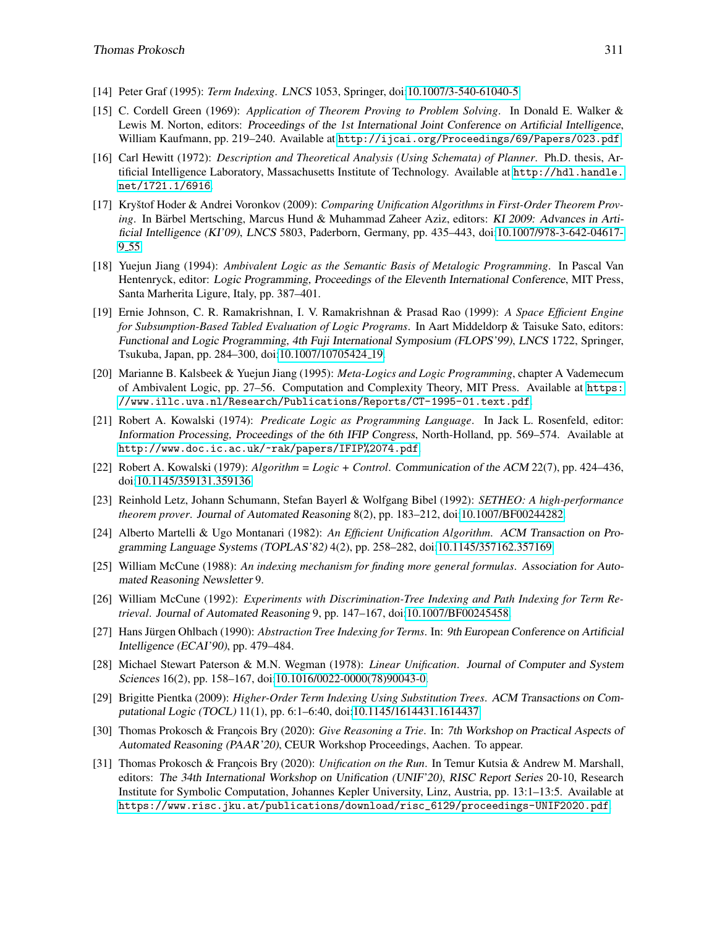- <span id="page-8-7"></span>[14] Peter Graf (1995): *Term Indexing*. LNCS 1053, Springer, doi[:10.1007/3-540-61040-5.](http://dx.doi.org/10.1007/3-540-61040-5)
- <span id="page-8-0"></span>[15] C. Cordell Green (1969): *Application of Theorem Proving to Problem Solving*. In Donald E. Walker & Lewis M. Norton, editors: Proceedings of the 1st International Joint Conference on Artificial Intelligence, William Kaufmann, pp. 219–240. Available at <http://ijcai.org/Proceedings/69/Papers/023.pdf>.
- <span id="page-8-9"></span>[16] Carl Hewitt (1972): *Description and Theoretical Analysis (Using Schemata) of Planner*. Ph.D. thesis, Artificial Intelligence Laboratory, Massachusetts Institute of Technology. Available at [http://hdl.handle.](http://hdl.handle.net/1721.1/6916) [net/1721.1/6916](http://hdl.handle.net/1721.1/6916).
- <span id="page-8-14"></span>[17] Kryštof Hoder & Andrei Voronkov (2009): *Comparing Unification Algorithms in First-Order Theorem Proving*. In Bärbel Mertsching, Marcus Hund & Muhammad Zaheer Aziz, editors: KI 2009: Advances in Artificial Intelligence (KI'09), LNCS 5803, Paderborn, Germany, pp. 435–443, doi[:10.1007/978-3-642-04617-](http://dx.doi.org/10.1007/978-3-642-04617-9_55) 9 [55.](http://dx.doi.org/10.1007/978-3-642-04617-9_55)
- <span id="page-8-5"></span>[18] Yuejun Jiang (1994): *Ambivalent Logic as the Semantic Basis of Metalogic Programming*. In Pascal Van Hentenryck, editor: Logic Programming, Proceedings of the Eleventh International Conference, MIT Press, Santa Marherita Ligure, Italy, pp. 387–401.
- <span id="page-8-8"></span>[19] Ernie Johnson, C. R. Ramakrishnan, I. V. Ramakrishnan & Prasad Rao (1999): *A Space Efficient Engine for Subsumption-Based Tabled Evaluation of Logic Programs*. In Aart Middeldorp & Taisuke Sato, editors: Functional and Logic Programming, 4th Fuji International Symposium (FLOPS'99), LNCS 1722, Springer, Tsukuba, Japan, pp. 284–300, doi[:10.1007/10705424](http://dx.doi.org/10.1007/10705424_19) 19.
- <span id="page-8-6"></span>[20] Marianne B. Kalsbeek & Yuejun Jiang (1995): *Meta-Logics and Logic Programming*, chapter A Vademecum of Ambivalent Logic, pp. 27–56. Computation and Complexity Theory, MIT Press. Available at [https:](https://www.illc.uva.nl/Research/Publications/Reports/CT-1995-01.text.pdf) [//www.illc.uva.nl/Research/Publications/Reports/CT-1995-01.text.pdf](https://www.illc.uva.nl/Research/Publications/Reports/CT-1995-01.text.pdf).
- <span id="page-8-1"></span>[21] Robert A. Kowalski (1974): *Predicate Logic as Programming Language*. In Jack L. Rosenfeld, editor: Information Processing, Proceedings of the 6th IFIP Congress, North-Holland, pp. 569–574. Available at <http://www.doc.ic.ac.uk/~rak/papers/IFIP%2074.pdf>.
- <span id="page-8-2"></span>[22] Robert A. Kowalski (1979): *Algorithm = Logic + Control*. Communication of the ACM 22(7), pp. 424–436, doi[:10.1145/359131.359136.](http://dx.doi.org/10.1145/359131.359136)
- <span id="page-8-10"></span>[23] Reinhold Letz, Johann Schumann, Stefan Bayerl & Wolfgang Bibel (1992): *SETHEO: A high-performance theorem prover*. Journal of Automated Reasoning 8(2), pp. 183–212, doi[:10.1007/BF00244282.](http://dx.doi.org/10.1007/BF00244282)
- <span id="page-8-17"></span>[24] Alberto Martelli & Ugo Montanari (1982): *An Efficient Unification Algorithm*. ACM Transaction on Programming Language Systems (TOPLAS'82) 4(2), pp. 258–282, doi[:10.1145/357162.357169.](http://dx.doi.org/10.1145/357162.357169)
- <span id="page-8-11"></span>[25] William McCune (1988): *An indexing mechanism for finding more general formulas*. Association for Automated Reasoning Newsletter 9.
- <span id="page-8-12"></span>[26] William McCune (1992): *Experiments with Discrimination-Tree Indexing and Path Indexing for Term Retrieval*. Journal of Automated Reasoning 9, pp. 147–167, doi[:10.1007/BF00245458.](http://dx.doi.org/10.1007/BF00245458)
- <span id="page-8-13"></span>[27] Hans Jürgen Ohlbach (1990): *Abstraction Tree Indexing for Terms*. In: 9th European Conference on Artificial Intelligence (ECAI'90), pp. 479–484.
- <span id="page-8-16"></span>[28] Michael Stewart Paterson & M.N. Wegman (1978): *Linear Unification*. Journal of Computer and System Sciences 16(2), pp. 158–167, doi[:10.1016/0022-0000\(78\)90043-0.](http://dx.doi.org/10.1016/0022-0000(78)90043-0)
- <span id="page-8-15"></span>[29] Brigitte Pientka (2009): *Higher-Order Term Indexing Using Substitution Trees*. ACM Transactions on Computational Logic (TOCL) 11(1), pp. 6:1–6:40, doi[:10.1145/1614431.1614437.](http://dx.doi.org/10.1145/1614431.1614437)
- <span id="page-8-4"></span>[30] Thomas Prokosch & François Bry (2020): *Give Reasoning a Trie*. In: 7th Workshop on Practical Aspects of Automated Reasoning (PAAR'20), CEUR Workshop Proceedings, Aachen. To appear.
- <span id="page-8-3"></span>[31] Thomas Prokosch & François Bry (2020): *Unification on the Run*. In Temur Kutsia & Andrew M. Marshall, editors: The 34th International Workshop on Unification (UNIF'20), RISC Report Series 20-10, Research Institute for Symbolic Computation, Johannes Kepler University, Linz, Austria, pp. 13:1–13:5. Available at [https://www.risc.jku.at/publications/download/risc\\_6129/proceedings-UNIF2020.pdf](https://www.risc.jku.at/publications/download/risc_6129/proceedings-UNIF2020.pdf).